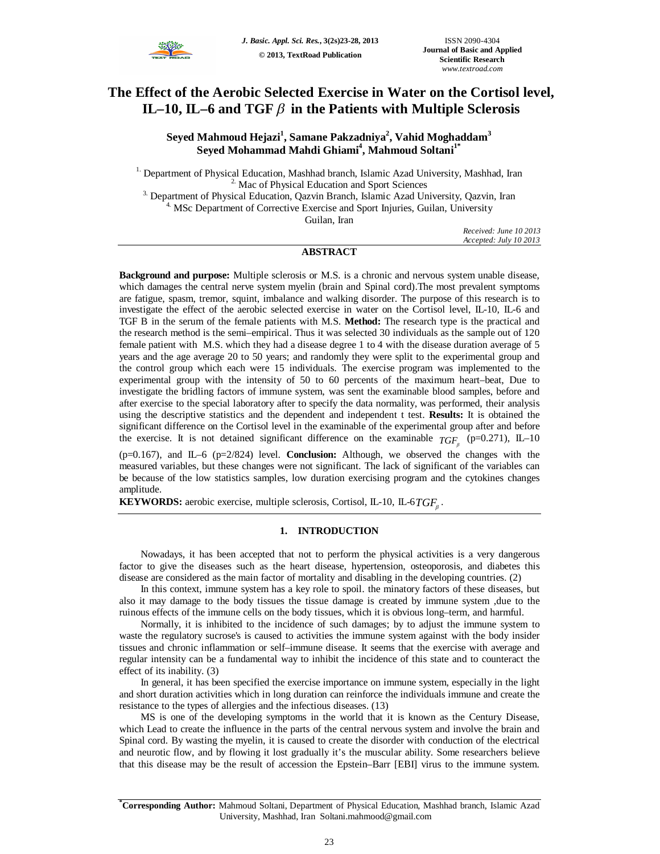

# **The Effect of the Aerobic Selected Exercise in Water on the Cortisol level, IL–10, IL–6 and TGF**  $\beta$  in the Patients with Multiple Sclerosis

**Seyed Mahmoud Hejazi<sup>1</sup> , Samane Pakzadniya<sup>2</sup> , Vahid Moghaddam<sup>3</sup> Seyed Mohammad Mahdi Ghiami<sup>4</sup> , Mahmoud Soltani1\***

<sup>1.</sup> Department of Physical Education, Mashhad branch, Islamic Azad University, Mashhad, Iran <sup>2.</sup> Mac of Physical Education and Sport Sciences <sup>3.</sup> Department of Physical Education, Qazvin Branch, Islamic Azad University, Qazvin, Iran <sup>4.</sup> MSc Department of Corrective Exercise and Sport Injuries, Guilan, University Guilan, Iran

*Received: June 10 2013 Accepted: July 10 2013*

## **ABSTRACT**

**Background and purpose:** Multiple sclerosis or M.S. is a chronic and nervous system unable disease, which damages the central nerve system myelin (brain and Spinal cord).The most prevalent symptoms are fatigue, spasm, tremor, squint, imbalance and walking disorder. The purpose of this research is to investigate the effect of the aerobic selected exercise in water on the Cortisol level, IL-10, IL-6 and TGF B in the serum of the female patients with M.S. **Method:** The research type is the practical and the research method is the semi–empirical. Thus it was selected 30 individuals as the sample out of 120 female patient with M.S. which they had a disease degree 1 to 4 with the disease duration average of 5 years and the age average 20 to 50 years; and randomly they were split to the experimental group and the control group which each were 15 individuals. The exercise program was implemented to the experimental group with the intensity of 50 to 60 percents of the maximum heart–beat, Due to investigate the bridling factors of immune system, was sent the examinable blood samples, before and after exercise to the special laboratory after to specify the data normality, was performed, their analysis using the descriptive statistics and the dependent and independent t test. **Results:** It is obtained the significant difference on the Cortisol level in the examinable of the experimental group after and before the exercise. It is not detained significant difference on the examinable  $TGF_{\beta}$  (p=0.271), IL–10

(p=0.167), and IL–6 (p=2/824) level. **Conclusion:** Although, we observed the changes with the measured variables, but these changes were not significant. The lack of significant of the variables can be because of the low statistics samples, low duration exercising program and the cytokines changes amplitude.

**KEYWORDS:** aerobic exercise, multiple sclerosis, Cortisol, IL-10, IL-6*TGF* .

#### **1. INTRODUCTION**

Nowadays, it has been accepted that not to perform the physical activities is a very dangerous factor to give the diseases such as the heart disease, hypertension, osteoporosis, and diabetes this disease are considered as the main factor of mortality and disabling in the developing countries. (2)

In this context, immune system has a key role to spoil. the minatory factors of these diseases, but also it may damage to the body tissues the tissue damage is created by immune system ,due to the ruinous effects of the immune cells on the body tissues, which it is obvious long–term, and harmful.

Normally, it is inhibited to the incidence of such damages; by to adjust the immune system to waste the regulatory sucrose's is caused to activities the immune system against with the body insider tissues and chronic inflammation or self–immune disease. It seems that the exercise with average and regular intensity can be a fundamental way to inhibit the incidence of this state and to counteract the effect of its inability. (3)

In general, it has been specified the exercise importance on immune system, especially in the light and short duration activities which in long duration can reinforce the individuals immune and create the resistance to the types of allergies and the infectious diseases. (13)

MS is one of the developing symptoms in the world that it is known as the Century Disease, which Lead to create the influence in the parts of the central nervous system and involve the brain and Spinal cord. By wasting the myelin, it is caused to create the disorder with conduction of the electrical and neurotic flow, and by flowing it lost gradually it's the muscular ability. Some researchers believe that this disease may be the result of accession the Epstein–Barr [EBI] virus to the immune system.

**<sup>\*</sup>Corresponding Author:** Mahmoud Soltani, Department of Physical Education, Mashhad branch, Islamic Azad University, Mashhad, Iran Soltani.mahmood@gmail.com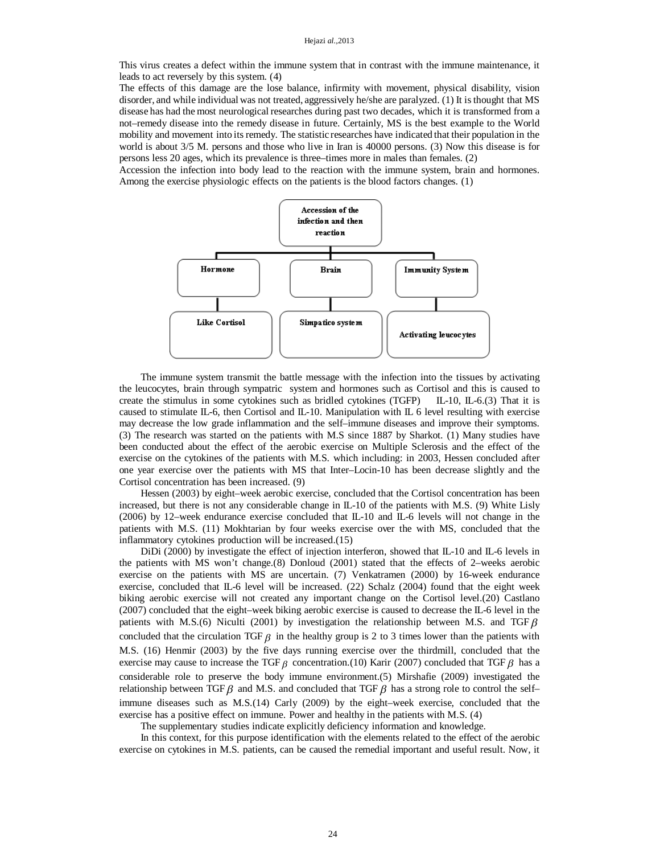This virus creates a defect within the immune system that in contrast with the immune maintenance, it leads to act reversely by this system. (4)

The effects of this damage are the lose balance, infirmity with movement, physical disability, vision disorder, and while individual was not treated, aggressively he/she are paralyzed. (1) It is thought that MS disease has had the most neurological researches during past two decades, which it is transformed from a not–remedy disease into the remedy disease in future. Certainly, MS is the best example to the World mobility and movement into its remedy. The statistic researches have indicated that their population in the world is about 3/5 M. persons and those who live in Iran is 40000 persons. (3) Now this disease is for persons less 20 ages, which its prevalence is three–times more in males than females. (2)

Accession the infection into body lead to the reaction with the immune system, brain and hormones. Among the exercise physiologic effects on the patients is the blood factors changes. (1)



The immune system transmit the battle message with the infection into the tissues by activating the leucocytes, brain through sympatric system and hormones such as Cortisol and this is caused to create the stimulus in some cytokines such as bridled cytokines (TGFP) IL-10, IL-6.(3) That it is caused to stimulate IL-6, then Cortisol and IL-10. Manipulation with IL 6 level resulting with exercise may decrease the low grade inflammation and the self–immune diseases and improve their symptoms. (3) The research was started on the patients with M.S since 1887 by Sharkot. (1) Many studies have been conducted about the effect of the aerobic exercise on Multiple Sclerosis and the effect of the exercise on the cytokines of the patients with M.S. which including: in 2003, Hessen concluded after one year exercise over the patients with MS that Inter–Locin-10 has been decrease slightly and the Cortisol concentration has been increased. (9)

Hessen (2003) by eight–week aerobic exercise, concluded that the Cortisol concentration has been increased, but there is not any considerable change in IL-10 of the patients with M.S. (9) White Lisly (2006) by 12–week endurance exercise concluded that IL-10 and IL-6 levels will not change in the patients with M.S. (11) Mokhtarian by four weeks exercise over the with MS, concluded that the inflammatory cytokines production will be increased.(15)

DiDi (2000) by investigate the effect of injection interferon, showed that IL-10 and IL-6 levels in the patients with MS won't change.(8) Donloud (2001) stated that the effects of 2–weeks aerobic exercise on the patients with MS are uncertain. (7) Venkatramen (2000) by 16-week endurance exercise, concluded that IL-6 level will be increased. (22) Schalz (2004) found that the eight week biking aerobic exercise will not created any important change on the Cortisol level.(20) Castlano (2007) concluded that the eight–week biking aerobic exercise is caused to decrease the IL-6 level in the patients with M.S.(6) Niculti (2001) by investigation the relationship between M.S. and TGF  $\beta$ concluded that the circulation TGF  $\beta$  in the healthy group is 2 to 3 times lower than the patients with M.S. (16) Henmir (2003) by the five days running exercise over the thirdmill, concluded that the exercise may cause to increase the TGF  $\beta$  concentration.(10) Karir (2007) concluded that TGF  $\beta$  has a considerable role to preserve the body immune environment.(5) Mirshafie (2009) investigated the relationship between TGF  $\beta$  and M.S. and concluded that TGF  $\beta$  has a strong role to control the self– immune diseases such as M.S.(14) Carly (2009) by the eight–week exercise, concluded that the exercise has a positive effect on immune. Power and healthy in the patients with M.S. (4)

The supplementary studies indicate explicitly deficiency information and knowledge.

In this context, for this purpose identification with the elements related to the effect of the aerobic exercise on cytokines in M.S. patients, can be caused the remedial important and useful result. Now, it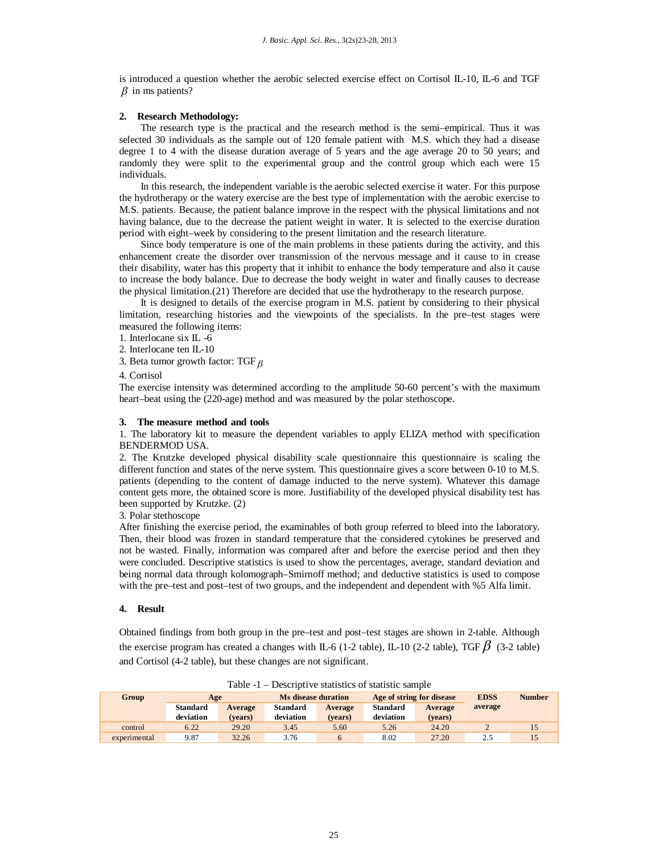is introduced a question whether the aerobic selected exercise effect on Cortisol IL-10, IL-6 and TGF  $\beta$  in ms patients?

### **2. Research Methodology:**

The research type is the practical and the research method is the semi–empirical. Thus it was selected 30 individuals as the sample out of 120 female patient with M.S. which they had a disease degree 1 to 4 with the disease duration average of 5 years and the age average 20 to 50 years; and randomly they were split to the experimental group and the control group which each were 15 individuals.

In this research, the independent variable is the aerobic selected exercise it water. For this purpose the hydrotherapy or the watery exercise are the best type of implementation with the aerobic exercise to M.S. patients. Because, the patient balance improve in the respect with the physical limitations and not having balance, due to the decrease the patient weight in water. It is selected to the exercise duration period with eight–week by considering to the present limitation and the research literature.

Since body temperature is one of the main problems in these patients during the activity, and this enhancement create the disorder over transmission of the nervous message and it cause to in crease their disability, water has this property that it inhibit to enhance the body temperature and also it cause to increase the body balance. Due to decrease the body weight in water and finally causes to decrease the physical limitation.(21) Therefore are decided that use the hydrotherapy to the research purpose.

It is designed to details of the exercise program in M.S. patient by considering to their physical limitation, researching histories and the viewpoints of the specialists. In the pre–test stages were measured the following items:

1. Interlocane six IL -6

2. Interlocane ten IL-10

3. Beta tumor growth factor: TGF  $\beta$ 

#### 4. Cortisol

The exercise intensity was determined according to the amplitude 50-60 percent's with the maximum heart–beat using the (220-age) method and was measured by the polar stethoscope.

#### **3. The measure method and tools**

1. The laboratory kit to measure the dependent variables to apply ELIZA method with specification BENDERMOD USA.

2. The Krutzke developed physical disability scale questionnaire this questionnaire is scaling the different function and states of the nerve system. This questionnaire gives a score between 0-10 to M.S. patients (depending to the content of damage inducted to the nerve system). Whatever this damage content gets more, the obtained score is more. Justifiability of the developed physical disability test has been supported by Krutzke. (2)

3. Polar stethoscope

After finishing the exercise period, the examinables of both group referred to bleed into the laboratory. Then, their blood was frozen in standard temperature that the considered cytokines be preserved and not be wasted. Finally, information was compared after and before the exercise period and then they were concluded. Descriptive statistics is used to show the percentages, average, standard deviation and being normal data through kolomograph–Smirnoff method; and deductive statistics is used to compose with the pre–test and post–test of two groups, and the independent and dependent with %5 Alfa limit.

#### **4. Result**

Obtained findings from both group in the pre–test and post–test stages are shown in 2-table. Although the exercise program has created a changes with IL-6 (1-2 table), IL-10 (2-2 table), TGF  $\beta$  (3-2 table) and Cortisol (4-2 table), but these changes are not significant.

| Table -I – Descriptive statistics of statistic sample |                              |                    |                              |                    |                              |                    |             |               |
|-------------------------------------------------------|------------------------------|--------------------|------------------------------|--------------------|------------------------------|--------------------|-------------|---------------|
| Group                                                 | Age                          |                    | Ms disease duration          |                    | Age of string for disease    |                    | <b>EDSS</b> | <b>Number</b> |
|                                                       | <b>Standard</b><br>deviation | Average<br>(vears) | <b>Standard</b><br>deviation | Average<br>(vears) | <b>Standard</b><br>deviation | Average<br>(vears) | average     |               |
| control                                               | 6.22                         | 29.20              | 3.45                         | 5.60               | 5.26                         | 24.20              |             |               |
| experimental                                          | 9.87                         | 32.26              | 3.76                         | 6                  | 8.02                         | 27.20              | 2.5         |               |

Table -1 – Descriptive statistics of statistic sample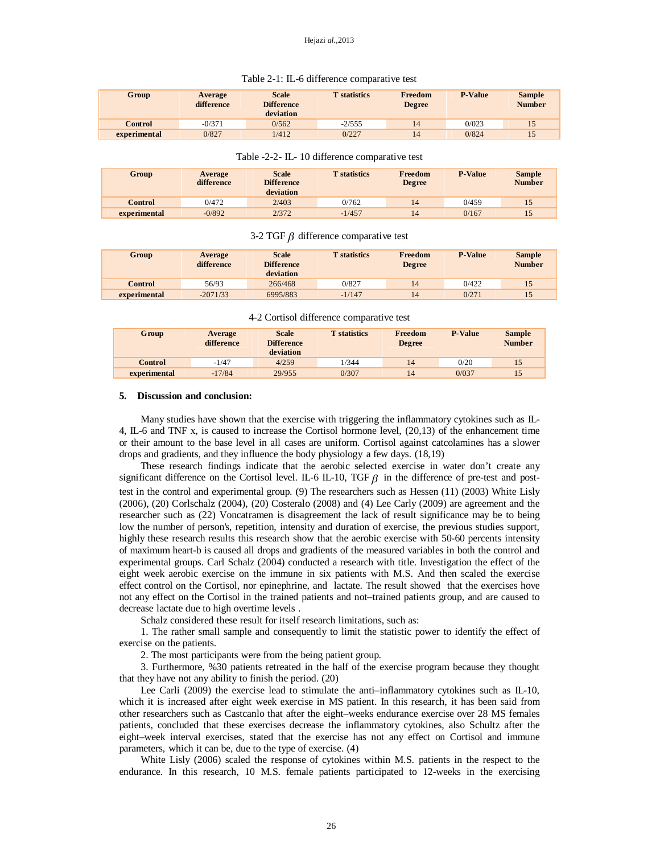| Group        | Average<br>difference | <b>Scale</b><br><b>Difference</b><br>deviation | <b>T</b> statistics | Freedom<br><b>Degree</b> | <b>P-Value</b> | <b>Sample</b><br><b>Number</b> |
|--------------|-----------------------|------------------------------------------------|---------------------|--------------------------|----------------|--------------------------------|
| Control      | $-0/371$              | 0/562                                          | $-2/555$            | 14                       | 0/023          | 15                             |
| experimental | 0/827                 | 1/412                                          | 0/227               | 14                       | 0/824          | 15                             |

#### Table 2-1: IL-6 difference comparative test

| Group        | Average<br>difference | <b>Scale</b><br><b>Difference</b><br>deviation | <b>T</b> statistics | Freedom<br><b>Degree</b> | <b>P-Value</b> | <b>Sample</b><br><b>Number</b> |
|--------------|-----------------------|------------------------------------------------|---------------------|--------------------------|----------------|--------------------------------|
| Control      | 0/472                 | 2/403                                          | 0/762               | 14                       | 0/459          | 15                             |
| experimental | $-0/892$              | 2/372                                          | $-1/457$            | 14                       | 0/167          | 15                             |

#### 3-2 TGF  $\beta$  difference comparative test

| Group        | Average<br>difference | <b>Scale</b><br><b>Difference</b><br>deviation | <b>T</b> statistics | Freedom<br><b>Degree</b> | <b>P-Value</b> | <b>Sample</b><br><b>Number</b> |
|--------------|-----------------------|------------------------------------------------|---------------------|--------------------------|----------------|--------------------------------|
| Control      | 56/93                 | 266/468                                        | 0/827               | 14                       | 0/422          | 15                             |
| experimental | $-2071/33$            | 6995/883                                       | $-1/147$            | 14                       | 0/271          | 15                             |

4-2 Cortisol difference comparative test

| Group          | Average<br>difference | <b>Scale</b><br><b>Difference</b><br>deviation | <b>T</b> statistics | Freedom<br>Degree | <b>P-Value</b> | <b>Sample</b><br><b>Number</b> |
|----------------|-----------------------|------------------------------------------------|---------------------|-------------------|----------------|--------------------------------|
| <b>Control</b> | $-1/47$               | 4/259                                          | 1/344               | 14                | 0/20           | 15                             |
| experimental   | $-17/84$              | 29/955                                         | 0/307               | 14                | 0/037          | 15                             |

#### **5. Discussion and conclusion:**

Many studies have shown that the exercise with triggering the inflammatory cytokines such as IL-4, IL-6 and TNF x, is caused to increase the Cortisol hormone level, (20,13) of the enhancement time or their amount to the base level in all cases are uniform. Cortisol against catcolamines has a slower drops and gradients, and they influence the body physiology a few days. (18,19)

These research findings indicate that the aerobic selected exercise in water don't create any significant difference on the Cortisol level. IL-6 IL-10, TGF  $\beta$  in the difference of pre-test and posttest in the control and experimental group. (9) The researchers such as Hessen (11) (2003) White Lisly (2006), (20) Corlschalz (2004), (20) Costeralo (2008) and (4) Lee Carly (2009) are agreement and the researcher such as (22) Voncatramen is disagreement the lack of result significance may be to being low the number of person's, repetition, intensity and duration of exercise, the previous studies support, highly these research results this research show that the aerobic exercise with 50-60 percents intensity of maximum heart-b is caused all drops and gradients of the measured variables in both the control and experimental groups. Carl Schalz (2004) conducted a research with title. Investigation the effect of the eight week aerobic exercise on the immune in six patients with M.S. And then scaled the exercise effect control on the Cortisol, nor epinephrine, and lactate. The result showed that the exercises hove not any effect on the Cortisol in the trained patients and not–trained patients group, and are caused to decrease lactate due to high overtime levels .

Schalz considered these result for itself research limitations, such as:

1. The rather small sample and consequently to limit the statistic power to identify the effect of exercise on the patients.

2. The most participants were from the being patient group.

3. Furthermore, %30 patients retreated in the half of the exercise program because they thought that they have not any ability to finish the period. (20)

Lee Carli (2009) the exercise lead to stimulate the anti–inflammatory cytokines such as IL-10, which it is increased after eight week exercise in MS patient. In this research, it has been said from other researchers such as Castcanlo that after the eight–weeks endurance exercise over 28 MS females patients, concluded that these exercises decrease the inflammatory cytokines, also Schultz after the eight–week interval exercises, stated that the exercise has not any effect on Cortisol and immune parameters, which it can be, due to the type of exercise. (4)

White Lisly (2006) scaled the response of cytokines within M.S. patients in the respect to the endurance. In this research, 10 M.S. female patients participated to 12-weeks in the exercising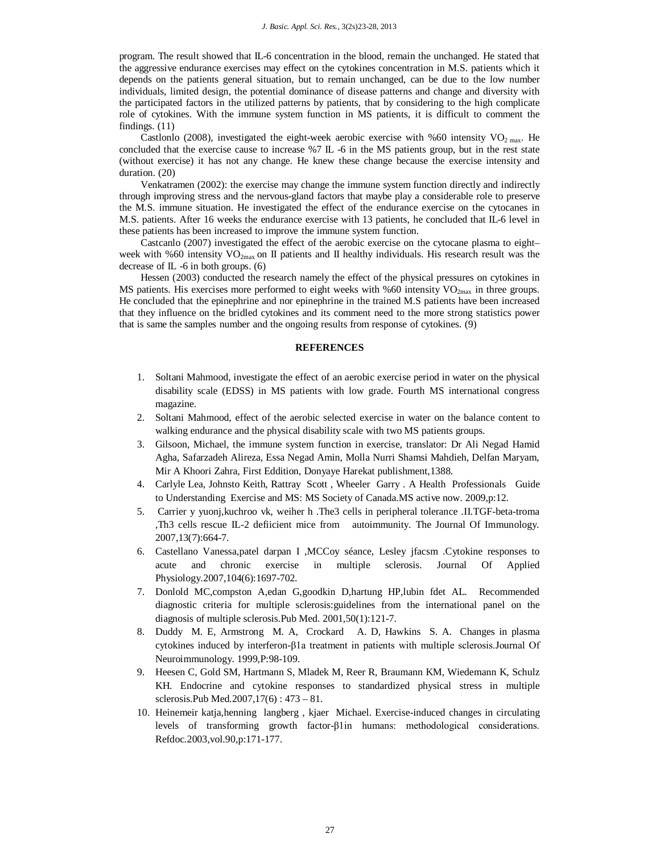program. The result showed that IL-6 concentration in the blood, remain the unchanged. He stated that the aggressive endurance exercises may effect on the cytokines concentration in M.S. patients which it depends on the patients general situation, but to remain unchanged, can be due to the low number individuals, limited design, the potential dominance of disease patterns and change and diversity with the participated factors in the utilized patterns by patients, that by considering to the high complicate role of cytokines. With the immune system function in MS patients, it is difficult to comment the findings. (11)

Castlonlo (2008), investigated the eight-week aerobic exercise with %60 intensity  $VO<sub>2 max</sub>$ . He concluded that the exercise cause to increase  $\%7 \text{ IL }$  -6 in the MS patients group, but in the rest state (without exercise) it has not any change. He knew these change because the exercise intensity and duration. (20)

Venkatramen (2002): the exercise may change the immune system function directly and indirectly through improving stress and the nervous-gland factors that maybe play a considerable role to preserve the M.S. immune situation. He investigated the effect of the endurance exercise on the cytocanes in M.S. patients. After 16 weeks the endurance exercise with 13 patients, he concluded that IL-6 level in these patients has been increased to improve the immune system function.

Castcanlo (2007) investigated the effect of the aerobic exercise on the cytocane plasma to eight– week with %60 intensity  $VO_{2max}$  on II patients and II healthy individuals. His research result was the decrease of IL -6 in both groups. (6)

Hessen (2003) conducted the research namely the effect of the physical pressures on cytokines in MS patients. His exercises more performed to eight weeks with %60 intensity  $VO_{2max}$  in three groups. He concluded that the epinephrine and nor epinephrine in the trained M.S patients have been increased that they influence on the bridled cytokines and its comment need to the more strong statistics power that is same the samples number and the ongoing results from response of cytokines. (9)

#### **REFERENCES**

- 1. Soltani Mahmood, investigate the effect of an aerobic exercise period in water on the physical disability scale (EDSS) in MS patients with low grade. Fourth MS international congress magazine.
- 2. Soltani Mahmood, effect of the aerobic selected exercise in water on the balance content to walking endurance and the physical disability scale with two MS patients groups.
- 3. Gilsoon, Michael, the immune system function in exercise, translator: Dr Ali Negad Hamid Agha, Safarzadeh Alireza, Essa Negad Amin, Molla Nurri Shamsi Mahdieh, Delfan Maryam, Mir A Khoori Zahra, First Eddition, Donyaye Harekat publishment,1388.
- 4. Carlyle Lea, Johnsto Keith, Rattray Scott , Wheeler Garry . A Health Professionals Guide to Understanding Exercise and MS: MS Society of Canada.MS active now. 2009,p:12.
- 5. Carrier y yuonj,kuchroo vk, weiher h .The3 cells in peripheral tolerance .II.TGF-beta-troma ,Th3 cells rescue IL-2 defiicient mice from autoimmunity. The Journal Of Immunology. 2007,13(7):664-7.
- 6. Castellano Vanessa,patel darpan I ,MCCoy séance, Lesley jfacsm .Cytokine responses to acute and chronic exercise in multiple sclerosis. Journal Of Applied Physiology.2007,104(6):1697-702.
- 7. Donlold MC,compston A,edan G,goodkin D,hartung HP,lubin fdet AL. Recommended diagnostic criteria for multiple sclerosis:guidelines from the international panel on the diagnosis of multiple sclerosis.Pub Med. 2001,50(1):121-7.
- 8. Duddy M. E, Armstrong M. A, Crockard A. D, Hawkins S. A. Changes in plasma cytokines induced by interferon-β1a treatment in patients with multiple sclerosis.Journal Of Neuroimmunology. 1999,P:98-109.
- 9. Heesen C, Gold SM, Hartmann S, Mladek M, Reer R, Braumann KM, Wiedemann K, Schulz KH. Endocrine and cytokine responses to standardized physical stress in multiple sclerosis.Pub Med.2007,17(6) : 473 – 81.
- 10. Heinemeir katja,henning langberg , kjaer Michael. Exercise-induced changes in circulating levels of transforming growth factor-β1in humans: methodological considerations. Refdoc.2003,vol.90,p:171-177.